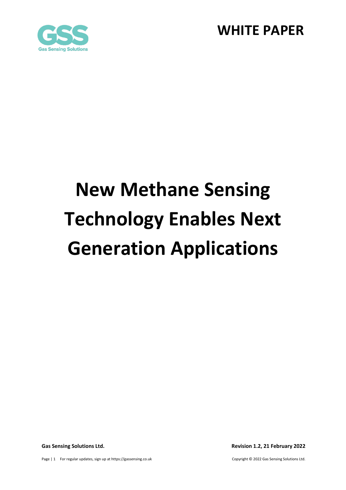



# **New Methane Sensing Technology Enables Next Generation Applications**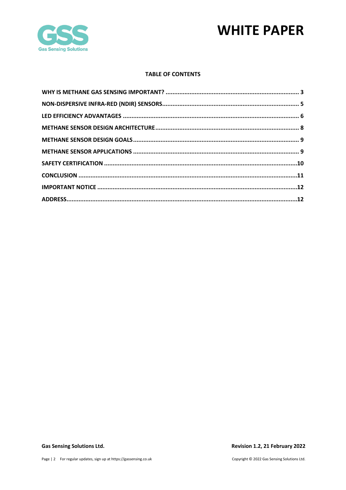

### **TABLE OF CONTENTS**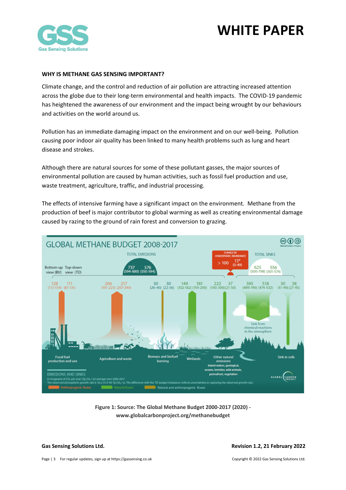

### <span id="page-2-0"></span>**WHY IS METHANE GAS SENSING IMPORTANT?**

Climate change, and the control and reduction of air pollution are attracting increased attention across the globe due to their long-term environmental and health impacts. The COVID-19 pandemic has heightened the awareness of our environment and the impact being wrought by our behaviours and activities on the world around us.

Pollution has an immediate damaging impact on the environment and on our well-being. Pollution causing poor indoor air quality has been linked to many health problems such as lung and heart disease and strokes.

Although there are natural sources for some of these pollutant gasses, the major sources of environmental pollution are caused by human activities, such as fossil fuel production and use, waste treatment, agriculture, traffic, and industrial processing.

The effects of intensive farming have a significant impact on the environment. Methane from the production of beef is major contributor to global warming as well as creating environmental damage caused by razing to the ground of rain forest and conversion to grazing.



**Figure 1: Source: The Global Methane Budget 2000-2017 (2020) www.globalcarbonproject.org/methanebudget**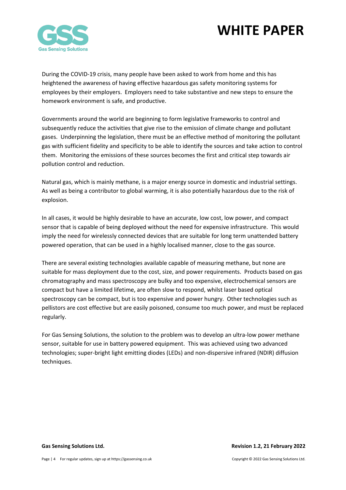

During the COVID-19 crisis, many people have been asked to work from home and this has heightened the awareness of having effective hazardous gas safety monitoring systems for employees by their employers. Employers need to take substantive and new steps to ensure the homework environment is safe, and productive.

Governments around the world are beginning to form legislative frameworks to control and subsequently reduce the activities that give rise to the emission of climate change and pollutant gases. Underpinning the legislation, there must be an effective method of monitoring the pollutant gas with sufficient fidelity and specificity to be able to identify the sources and take action to control them. Monitoring the emissions of these sources becomes the first and critical step towards air pollution control and reduction.

Natural gas, which is mainly methane, is a major energy source in domestic and industrial settings. As well as being a contributor to global warming, it is also potentially hazardous due to the risk of explosion.

In all cases, it would be highly desirable to have an accurate, low cost, low power, and compact sensor that is capable of being deployed without the need for expensive infrastructure. This would imply the need for wirelessly connected devices that are suitable for long term unattended battery powered operation, that can be used in a highly localised manner, close to the gas source.

There are several existing technologies available capable of measuring methane, but none are suitable for mass deployment due to the cost, size, and power requirements. Products based on gas chromatography and mass spectroscopy are bulky and too expensive, electrochemical sensors are compact but have a limited lifetime, are often slow to respond, whilst laser based optical spectroscopy can be compact, but is too expensive and power hungry. Other technologies such as pellistors are cost effective but are easily poisoned, consume too much power, and must be replaced regularly.

For Gas Sensing Solutions, the solution to the problem was to develop an ultra-low power methane sensor, suitable for use in battery powered equipment. This was achieved using two advanced technologies; super-bright light emitting diodes (LEDs) and non-dispersive infrared (NDIR) diffusion techniques.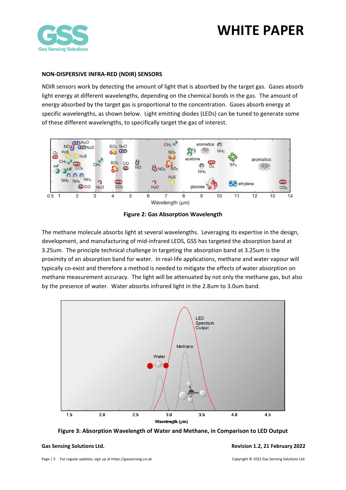

### <span id="page-4-0"></span>**NON-DISPERSIVE INFRA-RED (NDIR) SENSORS**

NDIR sensors work by detecting the amount of light that is absorbed by the target gas. Gases absorb light energy at different wavelengths, depending on the chemical bonds in the gas. The amount of energy absorbed by the target gas is proportional to the concentration. Gases absorb energy at specific wavelengths, as shown below. Light emitting diodes (LEDs) can be tuned to generate some of these different wavelengths, to specifically target the gas of interest.



**Figure 2: Gas Absorption Wavelength**

The methane molecule absorbs light at several wavelengths. Leveraging its expertise in the design, development, and manufacturing of mid-infrared LEDS, GSS has targeted the absorption band at 3.25um. The principle technical challenge in targeting the absorption band at 3.25um is the proximity of an absorption band for water. In real-life applications, methane and water vapour will typically co-exist and therefore a method is needed to mitigate the effects of water absorption on methane measurement accuracy. The light will be attenuated by not only the methane gas, but also by the presence of water. Water absorbs infrared light in the 2.8um to 3.0um band.



**Figure 3: Absorption Wavelength of Water and Methane, in Comparison to LED Output**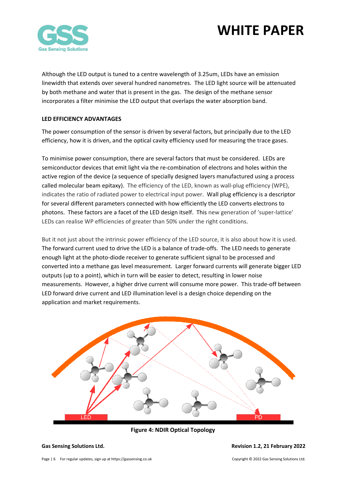

Although the LED output is tuned to a centre wavelength of 3.25um, LEDs have an emission linewidth that extends over several hundred nanometres. The LED light source will be attenuated by both methane and water that is present in the gas. The design of the methane sensor incorporates a filter minimise the LED output that overlaps the water absorption band.

### <span id="page-5-0"></span>**LED EFFICIENCY ADVANTAGES**

The power consumption of the sensor is driven by several factors, but principally due to the LED efficiency, how it is driven, and the optical cavity efficiency used for measuring the trace gases.

To minimise power consumption, there are several factors that must be considered. LEDs are semiconductor devices that emit light via the re-combination of electrons and holes within the active region of the device (a sequence of specially designed layers manufactured using a process called molecular beam epitaxy). The efficiency of the LED, known as wall-plug efficiency (WPE), indicates the ratio of radiated power to electrical input power. Wall plug efficiency is a descriptor for several different parameters connected with how efficiently the LED converts electrons to photons. These factors are a facet of the LED design itself. This new generation of 'super-lattice' LEDs can realise WP efficiencies of greater than 50% under the right conditions.

But it not just about the intrinsic power efficiency of the LED source, it is also about how it is used. The forward current used to drive the LED is a balance of trade-offs. The LED needs to generate enough light at the photo-diode receiver to generate sufficient signal to be processed and converted into a methane gas level measurement. Larger forward currents will generate bigger LED outputs (up to a point), which in turn will be easier to detect, resulting in lower noise measurements. However, a higher drive current will consume more power. This trade-off between LED forward drive current and LED illumination level is a design choice depending on the application and market requirements.



**Figure 4: NDIR Optical Topology**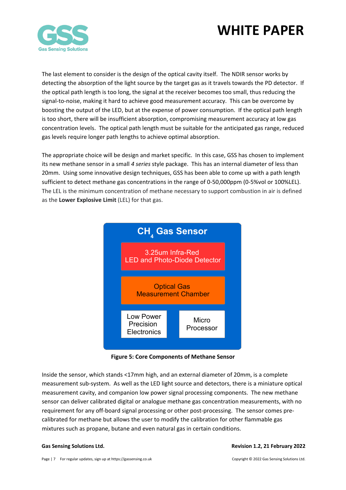

The last element to consider is the design of the optical cavity itself. The NDIR sensor works by detecting the absorption of the light source by the target gas as it travels towards the PD detector. If the optical path length is too long, the signal at the receiver becomes too small, thus reducing the signal-to-noise, making it hard to achieve good measurement accuracy. This can be overcome by boosting the output of the LED, but at the expense of power consumption. If the optical path length is too short, there will be insufficient absorption, compromising measurement accuracy at low gas concentration levels. The optical path length must be suitable for the anticipated gas range, reduced gas levels require longer path lengths to achieve optimal absorption.

The appropriate choice will be design and market specific. In this case, GSS has chosen to implement its new methane sensor in a small *4 series* style package. This has an internal diameter of less than 20mm. Using some innovative design techniques, GSS has been able to come up with a path length sufficient to detect methane gas concentrations in the range of 0-50,000ppm (0-5%vol or 100%LEL). The LEL is the minimum concentration of methane necessary to support combustion in air is defined as the **Lower Explosive Limit** (LEL) for that gas.



**Figure 5: Core Components of Methane Sensor**

Inside the sensor, which stands <17mm high, and an external diameter of 20mm, is a complete measurement sub-system. As well as the LED light source and detectors, there is a miniature optical measurement cavity, and companion low power signal processing components. The new methane sensor can deliver calibrated digital or analogue methane gas concentration measurements, with no requirement for any off-board signal processing or other post-processing. The sensor comes precalibrated for methane but allows the user to modify the calibration for other flammable gas mixtures such as propane, butane and even natural gas in certain conditions.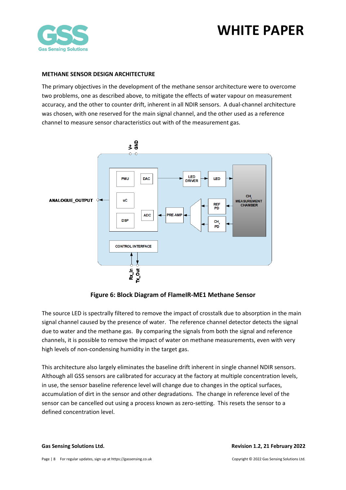



### <span id="page-7-0"></span>**METHANE SENSOR DESIGN ARCHITECTURE**

The primary objectives in the development of the methane sensor architecture were to overcome two problems, one as described above, to mitigate the effects of water vapour on measurement accuracy, and the other to counter drift, inherent in all NDIR sensors. A dual-channel architecture was chosen, with one reserved for the main signal channel, and the other used as a reference channel to measure sensor characteristics out with of the measurement gas.



**Figure 6: Block Diagram of FlameIR-ME1 Methane Sensor**

The source LED is spectrally filtered to remove the impact of crosstalk due to absorption in the main signal channel caused by the presence of water. The reference channel detector detects the signal due to water and the methane gas. By comparing the signals from both the signal and reference channels, it is possible to remove the impact of water on methane measurements, even with very high levels of non-condensing humidity in the target gas.

This architecture also largely eliminates the baseline drift inherent in single channel NDIR sensors. Although all GSS sensors are calibrated for accuracy at the factory at multiple concentration levels, in use, the sensor baseline reference level will change due to changes in the optical surfaces, accumulation of dirt in the sensor and other degradations. The change in reference level of the sensor can be cancelled out using a process known as zero-setting. This resets the sensor to a defined concentration level.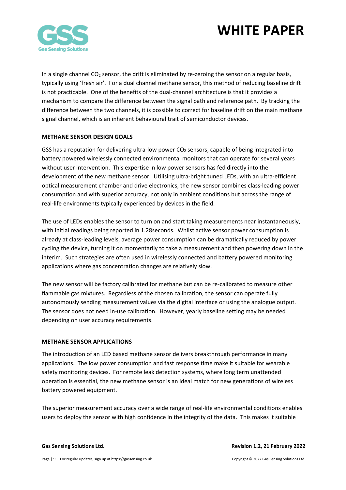

In a single channel  $CO<sub>2</sub>$  sensor, the drift is eliminated by re-zeroing the sensor on a regular basis, typically using 'fresh air'. For a dual channel methane sensor, this method of reducing baseline drift is not practicable. One of the benefits of the dual-channel architecture is that it provides a mechanism to compare the difference between the signal path and reference path. By tracking the difference between the two channels, it is possible to correct for baseline drift on the main methane signal channel, which is an inherent behavioural trait of semiconductor devices.

### <span id="page-8-0"></span>**METHANE SENSOR DESIGN GOALS**

GSS has a reputation for delivering ultra-low power  $CO<sub>2</sub>$  sensors, capable of being integrated into battery powered wirelessly connected environmental monitors that can operate for several years without user intervention. This expertise in low power sensors has fed directly into the development of the new methane sensor. Utilising ultra-bright tuned LEDs, with an ultra-efficient optical measurement chamber and drive electronics, the new sensor combines class-leading power consumption and with superior accuracy, not only in ambient conditions but across the range of real-life environments typically experienced by devices in the field.

The use of LEDs enables the sensor to turn on and start taking measurements near instantaneously, with initial readings being reported in 1.28seconds. Whilst active sensor power consumption is already at class-leading levels, average power consumption can be dramatically reduced by power cycling the device, turning it on momentarily to take a measurement and then powering down in the interim. Such strategies are often used in wirelessly connected and battery powered monitoring applications where gas concentration changes are relatively slow.

The new sensor will be factory calibrated for methane but can be re-calibrated to measure other flammable gas mixtures. Regardless of the chosen calibration, the sensor can operate fully autonomously sending measurement values via the digital interface or using the analogue output. The sensor does not need in-use calibration. However, yearly baseline setting may be needed depending on user accuracy requirements.

### <span id="page-8-1"></span>**METHANE SENSOR APPLICATIONS**

The introduction of an LED based methane sensor delivers breakthrough performance in many applications. The low power consumption and fast response time make it suitable for wearable safety monitoring devices. For remote leak detection systems, where long term unattended operation is essential, the new methane sensor is an ideal match for new generations of wireless battery powered equipment.

The superior measurement accuracy over a wide range of real-life environmental conditions enables users to deploy the sensor with high confidence in the integrity of the data. This makes it suitable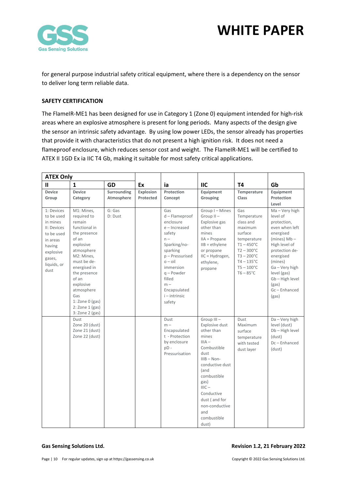

for general purpose industrial safety critical equipment, where there is a dependency on the sensor to deliver long term reliable data.

### <span id="page-9-0"></span>**SAFETY CERTIFICATION**

The FlameIR-ME1 has been designed for use in Category 1 (Zone 0) equipment intended for high-risk areas where an explosive atmosphere is present for long periods. Many aspects of the design give the sensor an intrinsic safety advantage. By using low power LEDs, the sensor already has properties that provide it with characteristics that do not present a high ignition risk. It does not need a flameproof enclosure, which reduces sensor cost and weight. The FlameIR-ME1 will be certified to ATEX II 1GD Ex ia IIC T4 Gb, making it suitable for most safety critical applications.

| <b>ATEX Only</b>                                                                                                                      |                                                                                                                                                                                                                                                                                 |                           |                        |                                                                                                                                                                                                                           |                                                                                                                                                                                                                                                       |                                                                                                                                                                                                          |                                                                                                                                                                                                                                          |
|---------------------------------------------------------------------------------------------------------------------------------------|---------------------------------------------------------------------------------------------------------------------------------------------------------------------------------------------------------------------------------------------------------------------------------|---------------------------|------------------------|---------------------------------------------------------------------------------------------------------------------------------------------------------------------------------------------------------------------------|-------------------------------------------------------------------------------------------------------------------------------------------------------------------------------------------------------------------------------------------------------|----------------------------------------------------------------------------------------------------------------------------------------------------------------------------------------------------------|------------------------------------------------------------------------------------------------------------------------------------------------------------------------------------------------------------------------------------------|
| Ш                                                                                                                                     | $\mathbf{1}$                                                                                                                                                                                                                                                                    | <b>GD</b>                 | Ex                     | ia                                                                                                                                                                                                                        | <b>IIC</b>                                                                                                                                                                                                                                            | <b>T4</b>                                                                                                                                                                                                | Gb                                                                                                                                                                                                                                       |
| <b>Device</b><br>Group                                                                                                                | <b>Device</b><br>Category                                                                                                                                                                                                                                                       | Surrounding<br>Atmosphere | Explosion<br>Protected | Protection<br>Concept                                                                                                                                                                                                     | Equipment<br>Grouping                                                                                                                                                                                                                                 | Temperature<br><b>Class</b>                                                                                                                                                                              | Equipment<br>Protection<br>Level                                                                                                                                                                                                         |
| 1: Devices<br>to be used<br>in mines<br>II: Devices<br>to be used<br>in areas<br>having<br>explosive<br>gases,<br>liquids, or<br>dust | M1: Mines,<br>required to<br>remain<br>functional in<br>the presence<br>of an<br>explosive<br>atmosphere<br>M2: Mines,<br>must be de-<br>energised in<br>the presence<br>of an<br>explosive<br>atmosphere<br>Gas<br>1: Zone $0$ (gas)<br>$2:$ Zone $1$ (gas)<br>3: Zone 2 (gas) | G: Gas<br>D: Dust         |                        | Gas<br>d - Flameproof<br>enclosure<br>e-Increased<br>safety<br>$n -$<br>Sparking/no-<br>sparking<br>p-Pressurised<br>$o - oil$<br>immersion<br>$q$ – Powder<br>filled<br>$m -$<br>Encapsulated<br>i - intrinsic<br>safety | Group I-Mines<br>$Group II -$<br>Explosive gas<br>other than<br>mines<br>IIA = Propane<br>$IIB = ethylene$<br>or propane<br>IIC = Hydrogen,<br>ethylene,<br>propane                                                                                   | Gas<br>Temperature<br>class and<br>maximum<br>surface<br>temperature<br>$T1 - 450^{\circ}$ C<br>$T2 - 300^{\circ}C$<br>$T3 - 200^{\circ}C$<br>$T4 - 135$ °C<br>$T5 - 100^{\circ}C$<br>$T6 - 85^{\circ}C$ | Ma - Very high<br>level of<br>protection,<br>even when left<br>energised<br>(mines) $Mb -$<br>High level of<br>protection de-<br>energised<br>(mines)<br>Ga - Very high<br>level (gas)<br>Gb-High level<br>(gas)<br>Gc-Enhanced<br>(gas) |
|                                                                                                                                       | Dust<br>Zone 20 (dust)<br>Zone 21 (dust)<br>Zone 22 (dust)                                                                                                                                                                                                                      |                           |                        | Dust<br>$m -$<br>Encapsulated<br>t - Protection<br>by enclosure<br>pD-<br>Pressurisation                                                                                                                                  | Group III-<br>Explosive dust<br>other than<br>mines<br>$IIIA -$<br>Combustible<br>dust<br>$IIIB - Non-$<br>conductive dust<br>(and<br>combustible<br>gas)<br>$IIIC -$<br>Conductive<br>dust (and for<br>non-conductive<br>and<br>combustible<br>dust) | Dust<br>Maximum<br>surface<br>temperature<br>with tested<br>dust layer                                                                                                                                   | Da - Very high<br>level (dust)<br>Db-High level<br>(dust)<br>Dc-Enhanced<br>(dust)                                                                                                                                                       |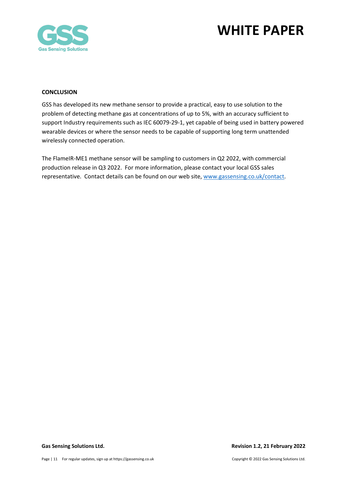



#### <span id="page-10-0"></span>**CONCLUSION**

GSS has developed its new methane sensor to provide a practical, easy to use solution to the problem of detecting methane gas at concentrations of up to 5%, with an accuracy sufficient to support Industry requirements such as IEC 60079-29-1, yet capable of being used in battery powered wearable devices or where the sensor needs to be capable of supporting long term unattended wirelessly connected operation.

The FlameIR-ME1 methane sensor will be sampling to customers in Q2 2022, with commercial production release in Q3 2022. For more information, please contact your local GSS sales representative. Contact details can be found on our web site, [www.gassensing.co.uk/contact.](http://www.gassensing.co.uk/contact)